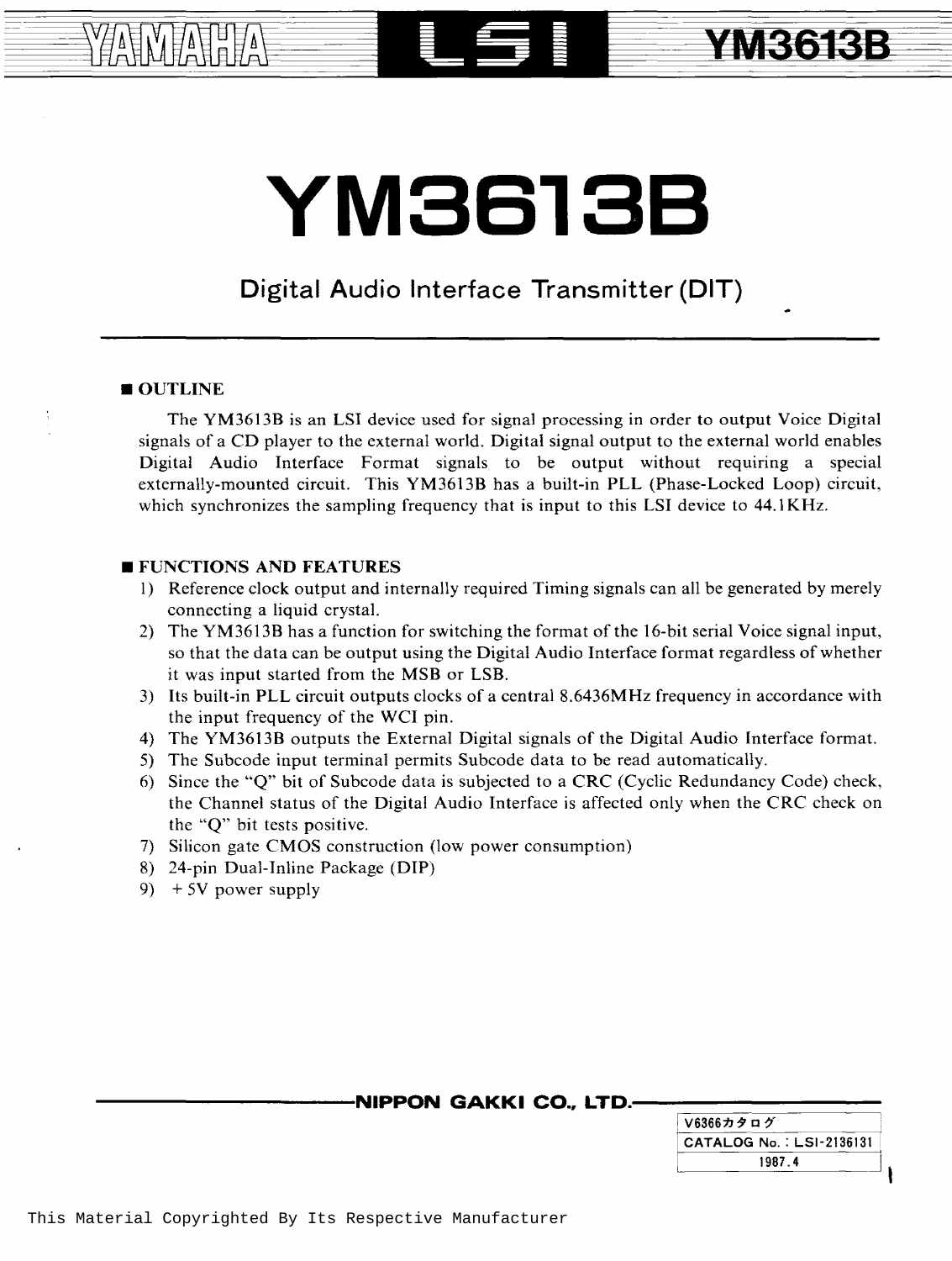# **YM3613B**

### **Digital Audio Interface Transmitter (DIT)**

#### OUTLINE

周晴

The YM3613B is an LSI device used for signal processing in order to output Voice Digital signals of a CD player to the external world. Digital signal output to the external world enables Digital Audio Interface Format signals to be output without requiring a special externally-mounted circuit. This YM3613B has a built-in PLL (Phase-Locked Loop) circuit, which synchronizes the sampling frequency that is input to this LSI device to 44.1KHz.

#### **EXECUTED FUNCTIONS AND FEATURES**

- I) Reference clock output and internally required Timing signals can all be generated by merely connecting a liquid crystal.
- 2) The YM3613B has a function for switching the format of the 16-bit serial Voice signal input, so that the data can be output using the Digital Audio Interface format regardless of whether it was input started from the MSB or LSB.
- 3) Its built-in PLL circuit outputs clocks of a central 8.6436MHz frequency in accordance with the input frequency of the WCI pin.
- 4) The YM3613B outputs the External Digital signals of the Digital Audio Interface format.
- 5) The Subcode input terminal permits Subcode data to be read automatically.
- 6) Since the "Q" bit of Subcode data is subjected to a CRC (Cyclic Redundancy Code) check, the Channel status of the Digital Audio Interface is affected only when the CRC check on the "Q" bit tests positive.
- 7) Silicon gate CMOS construction (low power consumption)
- 8) 24-pin Dual-Inline Package (DIP)
- 9)  $+5V$  power supply

#### **NIPPON GAKKI CO., LTD.-**

| │V6366カタログ                |
|---------------------------|
| CATALOG No. : LSI-2136131 |
| 1987.4                    |

**YM3613B**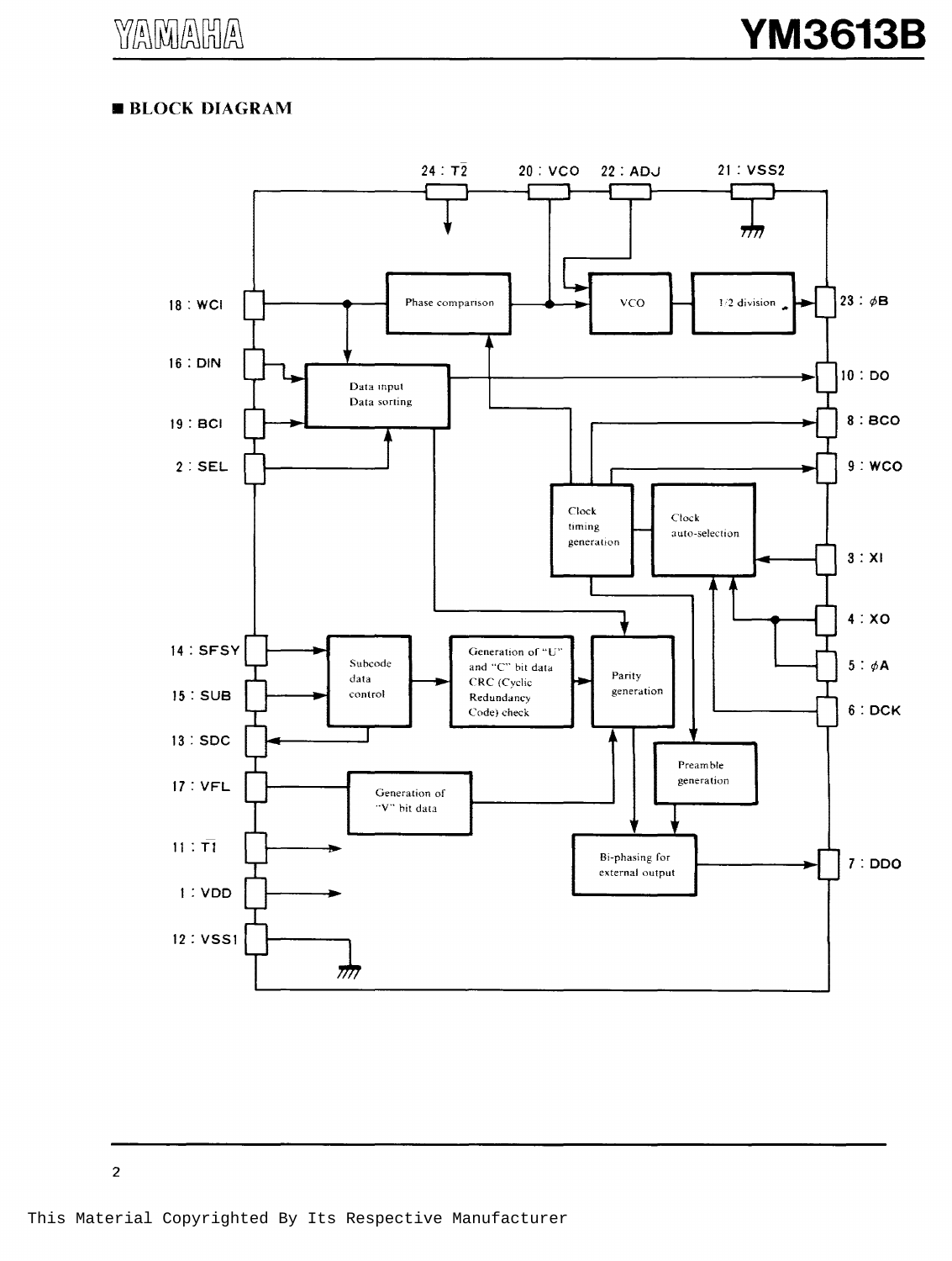#### **BLOCK DIAGRAM**

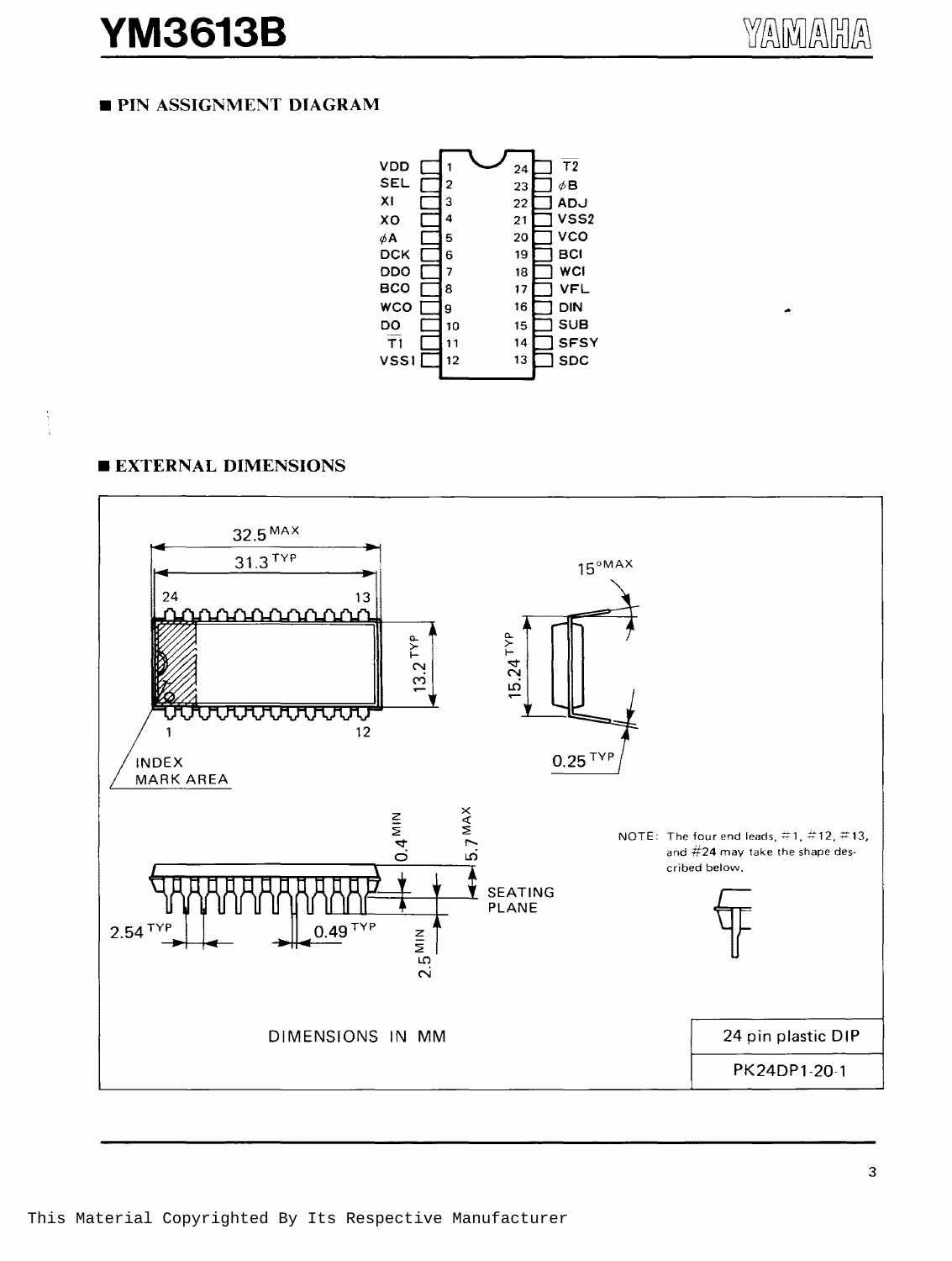### **YM3613B**

#### **PIN ASSIGNMENT DIAGRAM**



#### **EXTERNAL DIMENSIONS**

 $\begin{array}{c} 1 \\ 1 \\ 2 \\ 3 \end{array}$ 

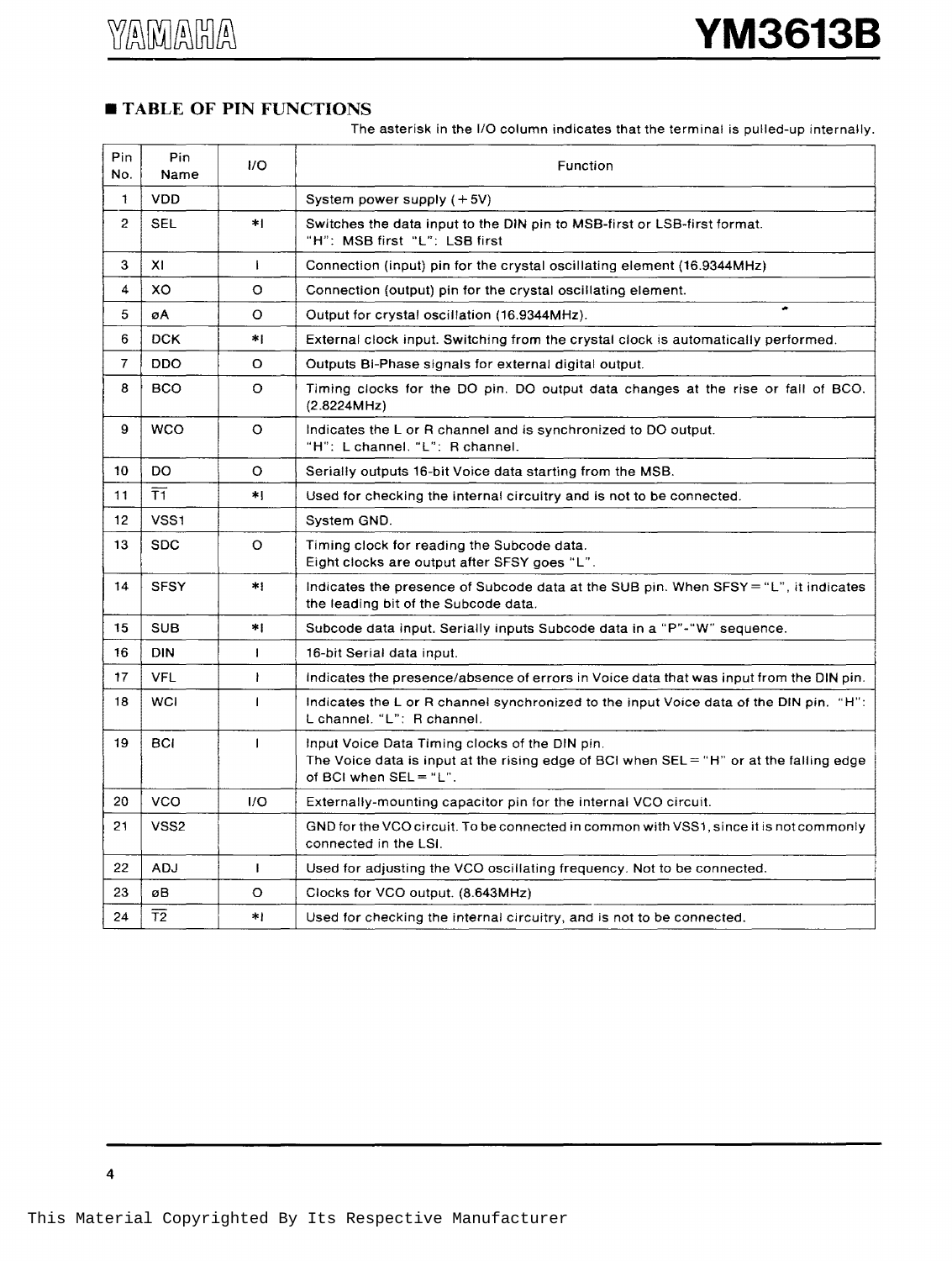#### $\blacksquare$  **TABLE OF PIN FUNCTIONS**

The asterisk in the 1/0 column indicates that the terminal is pulled-up internally.

| Pin.<br>No.    | Pin<br>Name     | I/O          | Function                                                                                                                                                              |  |  |
|----------------|-----------------|--------------|-----------------------------------------------------------------------------------------------------------------------------------------------------------------------|--|--|
| 1              | <b>VDD</b>      |              | System power supply (+5V)                                                                                                                                             |  |  |
| $\overline{2}$ | <b>SEL</b>      | $\star$ .    | Switches the data input to the DIN pin to MSB-first or LSB-first format.<br>"H": MSB first "L": LSB first                                                             |  |  |
| 3              | XI              | $\mathbf{I}$ | Connection (input) pin for the crystal oscillating element (16.9344MHz)                                                                                               |  |  |
| 4              | XO              | O            | Connection (output) pin for the crystal oscillating element.                                                                                                          |  |  |
| 5              | øA              | O            | ۰<br>Output for crystal oscillation (16.9344MHz).                                                                                                                     |  |  |
| 6              | <b>DCK</b>      | *1           | External clock input. Switching from the crystal clock is automatically performed.                                                                                    |  |  |
| $\overline{7}$ | <b>DDO</b>      | o            | Outputs Bi-Phase signals for external digital output.                                                                                                                 |  |  |
| 8              | <b>BCO</b>      | О            | Timing clocks for the DO pin. DO output data changes at the rise or fall of BCO.<br>(2.8224MHz)                                                                       |  |  |
| 9              | <b>WCO</b>      | o            | Indicates the L or R channel and is synchronized to DO output.<br>"H": L channel. "L": R channel.                                                                     |  |  |
| 10             | DO.             | O            | Serially outputs 16-bit Voice data starting from the MSB.                                                                                                             |  |  |
| 11             | $\overline{T1}$ | *!           | Used for checking the internal circuitry and is not to be connected.                                                                                                  |  |  |
| 12             | VSS1            |              | System GND.                                                                                                                                                           |  |  |
| 13             | <b>SDC</b>      | O            | Timing clock for reading the Subcode data.<br>Eight clocks are output after SFSY goes "L".                                                                            |  |  |
| 14             | <b>SFSY</b>     | $^{\ast}$ :  | Indicates the presence of Subcode data at the SUB pin. When SFSY = "L", it indicates<br>the leading bit of the Subcode data.                                          |  |  |
| 15             | <b>SUB</b>      | *1           | Subcode data input. Serially inputs Subcode data in a "P"-"W" sequence.                                                                                               |  |  |
| 16             | <b>DIN</b>      | $\mathbf{I}$ | 16-bit Serial data input.                                                                                                                                             |  |  |
| 17             | <b>VFL</b>      | Ł            | Indicates the presence/absence of errors in Voice data that was input from the DIN pin.                                                                               |  |  |
| 18             | <b>WCI</b>      | $\mathbf{I}$ | Indicates the L or R channel synchronized to the input Voice data of the DIN pin. "H":<br>L channel. "L": R channel.                                                  |  |  |
| 19             | <b>BCI</b>      | $\mathbf{I}$ | Input Voice Data Timing clocks of the DIN pin.<br>The Voice data is input at the rising edge of BCI when $SEL = "H"$ or at the falling edge<br>of BCI when SEL = "L". |  |  |
| 20             | <b>VCO</b>      | 1/O          | Externally-mounting capacitor pin for the internal VCO circuit.                                                                                                       |  |  |
| 21             | VSS2            |              | GND for the VCO circuit. To be connected in common with VSS1, since it is not commonly<br>connected in the LSI.                                                       |  |  |
| 22             | <b>ADJ</b>      | Ł            | Used for adjusting the VCO oscillating frequency. Not to be connected.                                                                                                |  |  |
| 23             | øB              | О            | Clocks for VCO output. (8.643MHz)                                                                                                                                     |  |  |
| 24             | $\overline{12}$ | *1           | Used for checking the internal circuitry, and is not to be connected.                                                                                                 |  |  |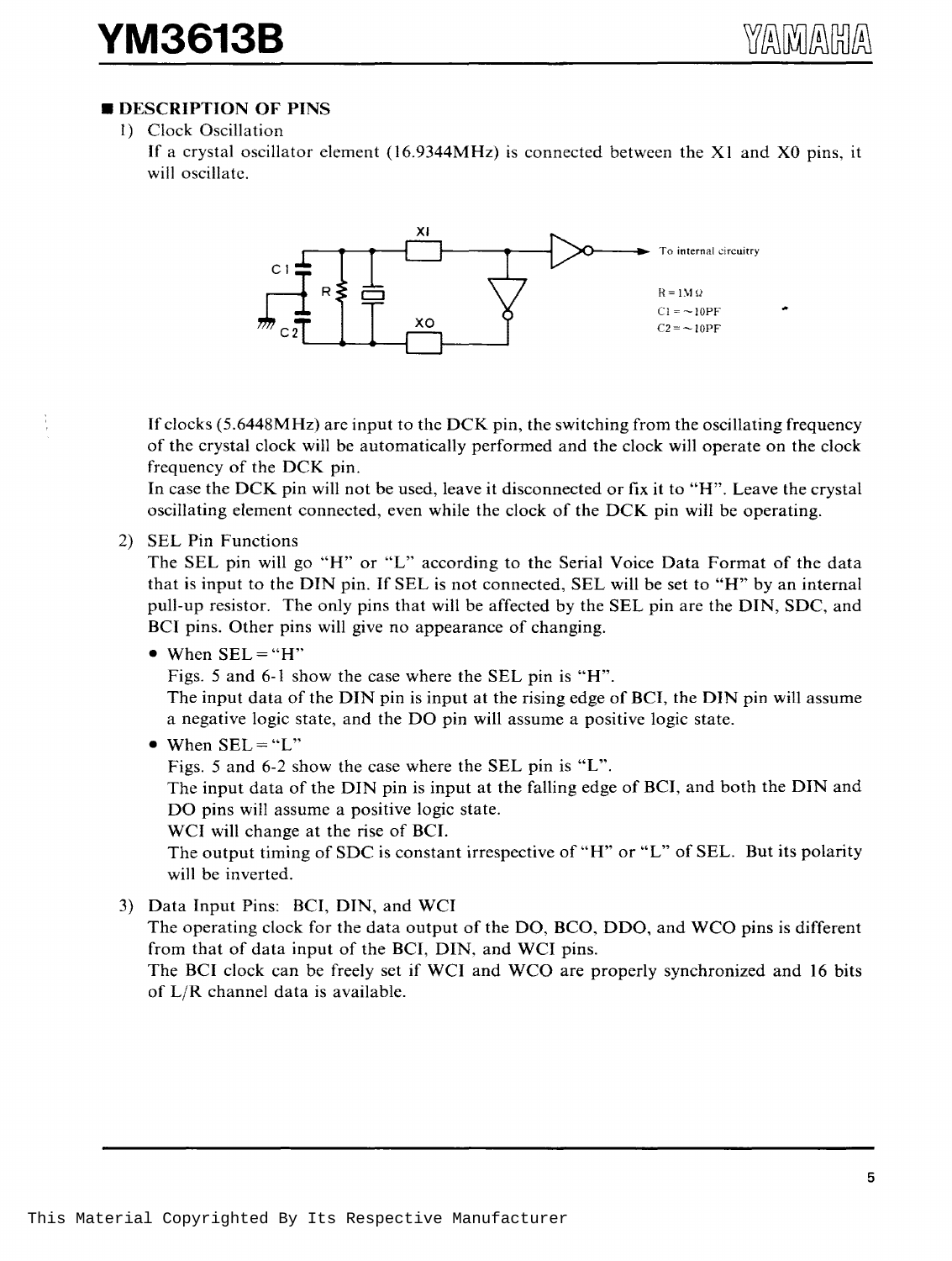#### **B** DESCRIPTION OF PINS

l) Clock Oscillation

If a crystal oscillator element (16.9344MHz) is connected between the XI and XO pins, it will oscillate.



If clocks (5.6448MHz) are input to the DCK pin, the switching from the oscillating frequency of the crystal clock will be automatically performed and the clock will operate on the clock frequency of the DCK pin.

In case the DCK pin will not be used, leave it disconnected or fix it to "H". Leave the crystal oscillating element connected, even while the clock of the DCK pin will be operating.

2) SEL Pin Functions

÷,

The SEL pin will go "H" or "L" according to the Serial Voice Data Format of the data that is input to the DIN pin. If SEL is not connected, SEL will be set to "H" by an internal pull-up resistor. The only pins that will be affected by the SEL pin are the DIN, SDC, and BCI pins. Other pins will give no appearance of changing.

 $\bullet$  When  $SEL = "H"$ 

Figs. 5 and 6-1 show the case where the SEL pin is "H".

The input data of the DIN pin is input at the rising edge of BCI, the DIN pin will assume a negative logic state, and the DO pin will assume a positive logic state.

#### • When  $SEL = "L"$

Figs. 5 and 6-2 show the case where the SEL pin is "L".

The input data of the DIN pin is input at the falling edge of BCI, and both the DIN and DO pins will assume a positive logic state.

WCI will change at the rise of BCI.

The output timing of SDC is constant irrespective of "H" or "L" of SEL. But its polarity will be inverted.

3) Data Input Pins: BCI, DIN, and WCI The operating clock for the data output of the DO, BCO, DDO, and WCO pins is different from that of data input of the BCI, DIN, and WCI pins. The BCI clock can be freely set if WCI and WCO are properly synchronized and 16 bits of L/R channel data is available.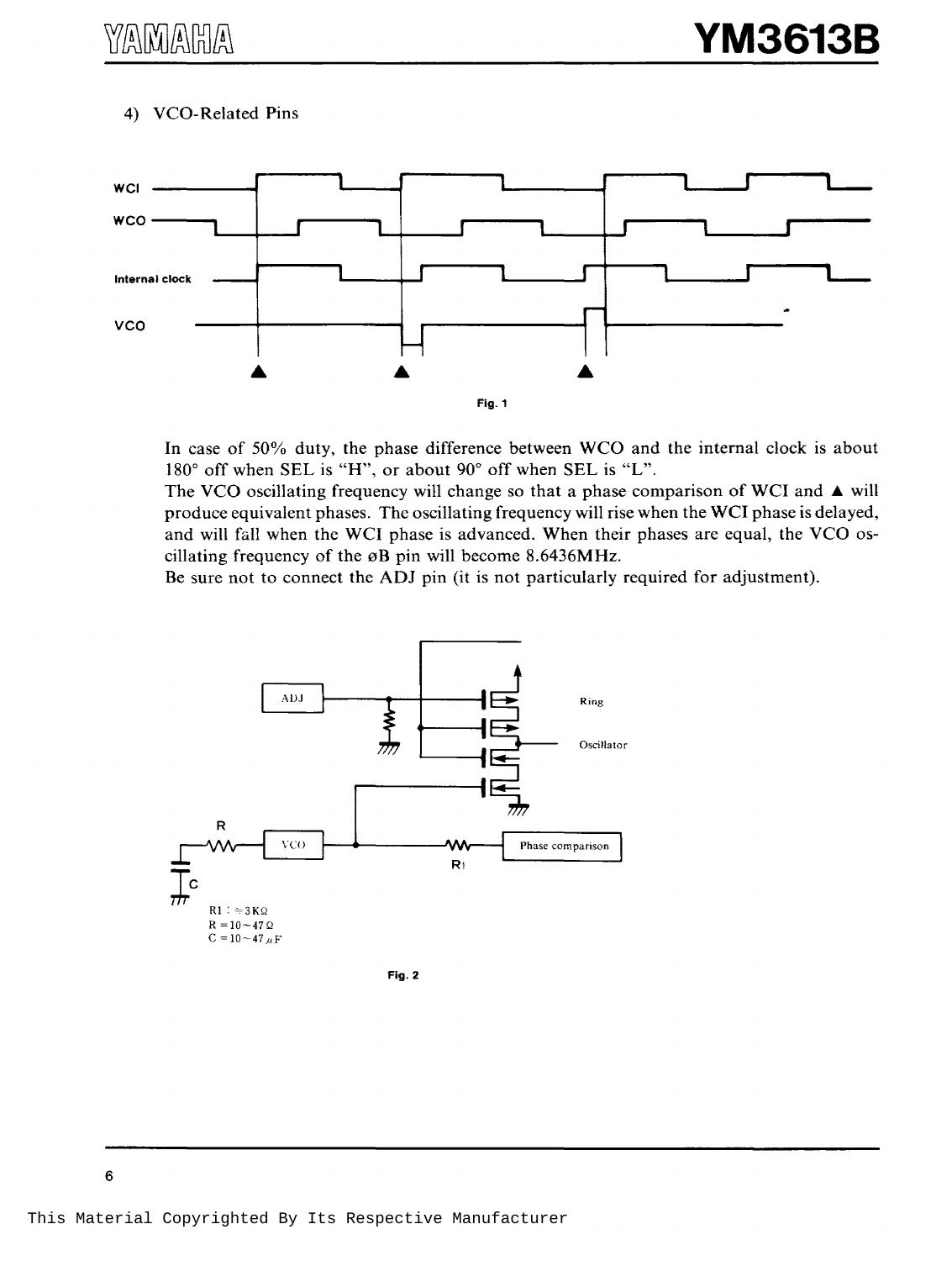#### 4) VCO-Related Pins



In case of 50% duty, the phase difference between WCO and the internal clock is about 180° off when SEL is "H", or about 90° off when SEL is "L".

The VCO oscillating frequency will change so that a phase comparison of WCI and  $\blacktriangle$  will produce equivalent phases. The oscillating frequency will rise when the WCI phase is delayed, and will fall when the WCI phase is advanced. When their phases are equal, the VCO oscillating frequency of the  $\phi$ B pin will become 8.6436MHz.

Be sure not to connect the ADJ pin (it is not particularly required for adjustment).



Fig. 2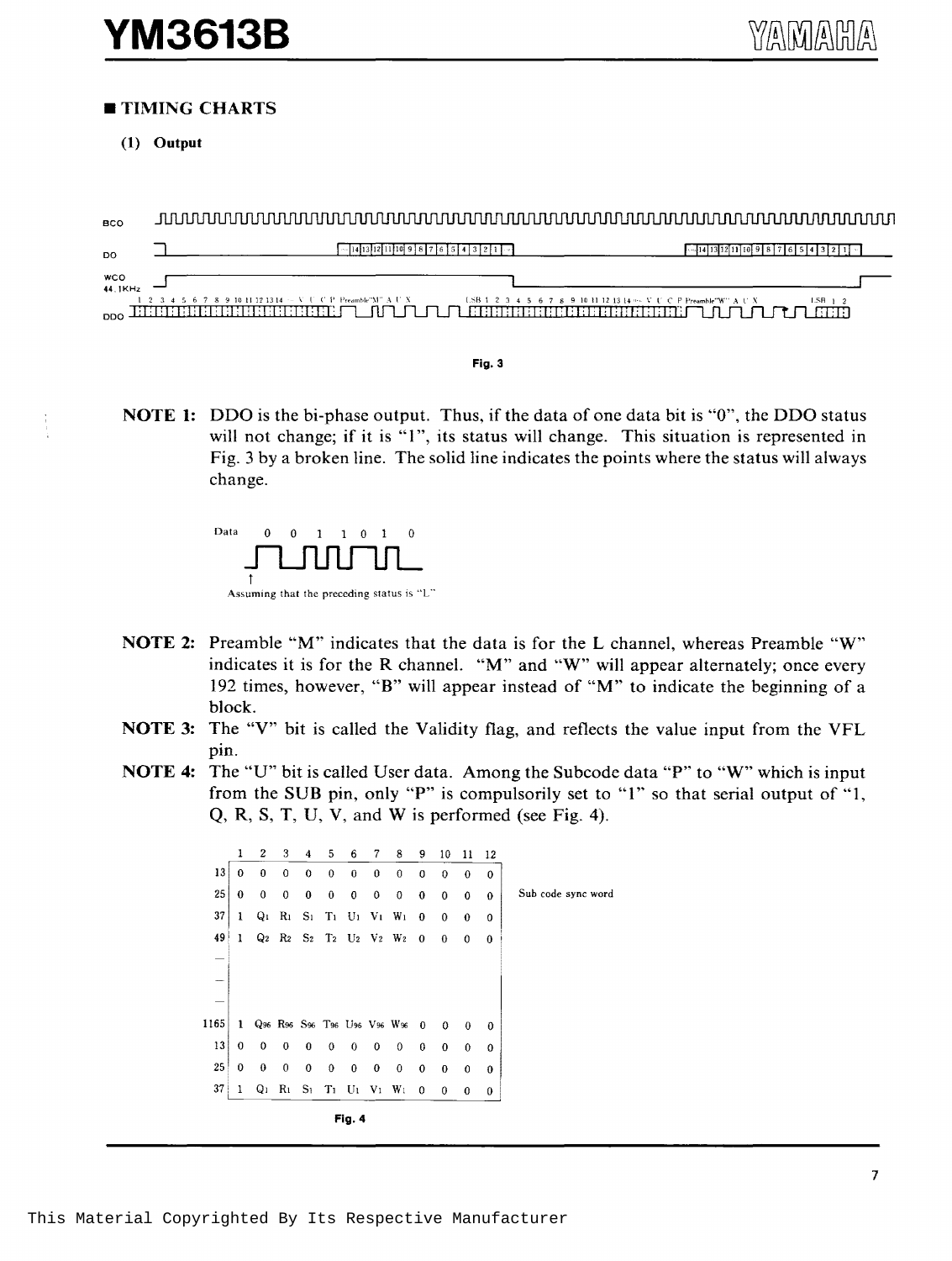#### • **TIMING CHARTS**

**(1) Output** 

BCO  $\sqrt{2[14]13[12]11[10]}$ 9 8 7 6 5 4 3 2 1  $\sqrt{2}$  $\sqrt{14}$  13 12 11 10 9 8 7 6 5 4 3 2 1 ⊐ DO wco 44. !KHz 9 10 11 12 13 14 LSB 1 2 3 4 5 6 7 8 9 10 11 12 13 14 vs. V L' C P Preamble"W  $LSB - 1$ 。面面面面面的面面面面面上的一个一个一直面面面面面面面面面面面上了心一个

**Fig. 3** 

**NOTE 1:** DDO is the bi-phase output. Thus, if the data of one data bit is "0", the DDO status will not change; if it is "1", its status will change. This situation is represented in Fig. 3 by a broken line. The solid line indicates the points where the status will always change.



- **NOTE 2:** Preamble "M" indicates that the data is for the **L** channel, whereas Preamble "W" indicates it is for the R channel. "M" and "W" will appear alternately; once every 192 times, however, **"B"** will appear instead of "M" to indicate the beginning of a block.
- **NOTE 3:** The "V" bit is called the Validity flag, and reflects the value input from the VFL pin.
- **NOTE 4:** The "U" bit is called User data. Among the Subcode data "P'' to "W" which is input from the SUB pin, only "P" is compulsorily set to "I" so that serial output of "1, Q, R, S, T, U, V, and Wis performed (see Fig. 4).

1 2 3 4 5 *6* 7 8 9 10 11 12 13 0 0 0 0 0 0 0 0 0 0 0 0 25 0 0 0 0 0 O 0 O O O O O Sub code sync word  $37$  1 Q<sub>1</sub> R<sub>1</sub> S<sub>1</sub> T<sub>1</sub> U<sub>1</sub> V<sub>1</sub> W<sub>1</sub> 0 0 0 0  $49$  1  $Q_2$  R<sub>2</sub> S<sub>2</sub> T<sub>2</sub> U<sub>2</sub> V<sub>2</sub> W<sub>2</sub> 0 0 0 0 1165 1 Q96 R96 S96 T96 U96 V96 W96 0 0 0 0 13 0 0 0 0 0 0 0 0 0 0 0 0  $25$  0 0 0 0 0 0 0 0 0 0 0 0  $37$  1 Q<sub>1</sub> R<sub>1</sub> S<sub>1</sub> T<sub>1</sub> U<sub>1</sub> V<sub>1</sub> W<sub>1</sub> 0 0 0 0 **Fig. 4**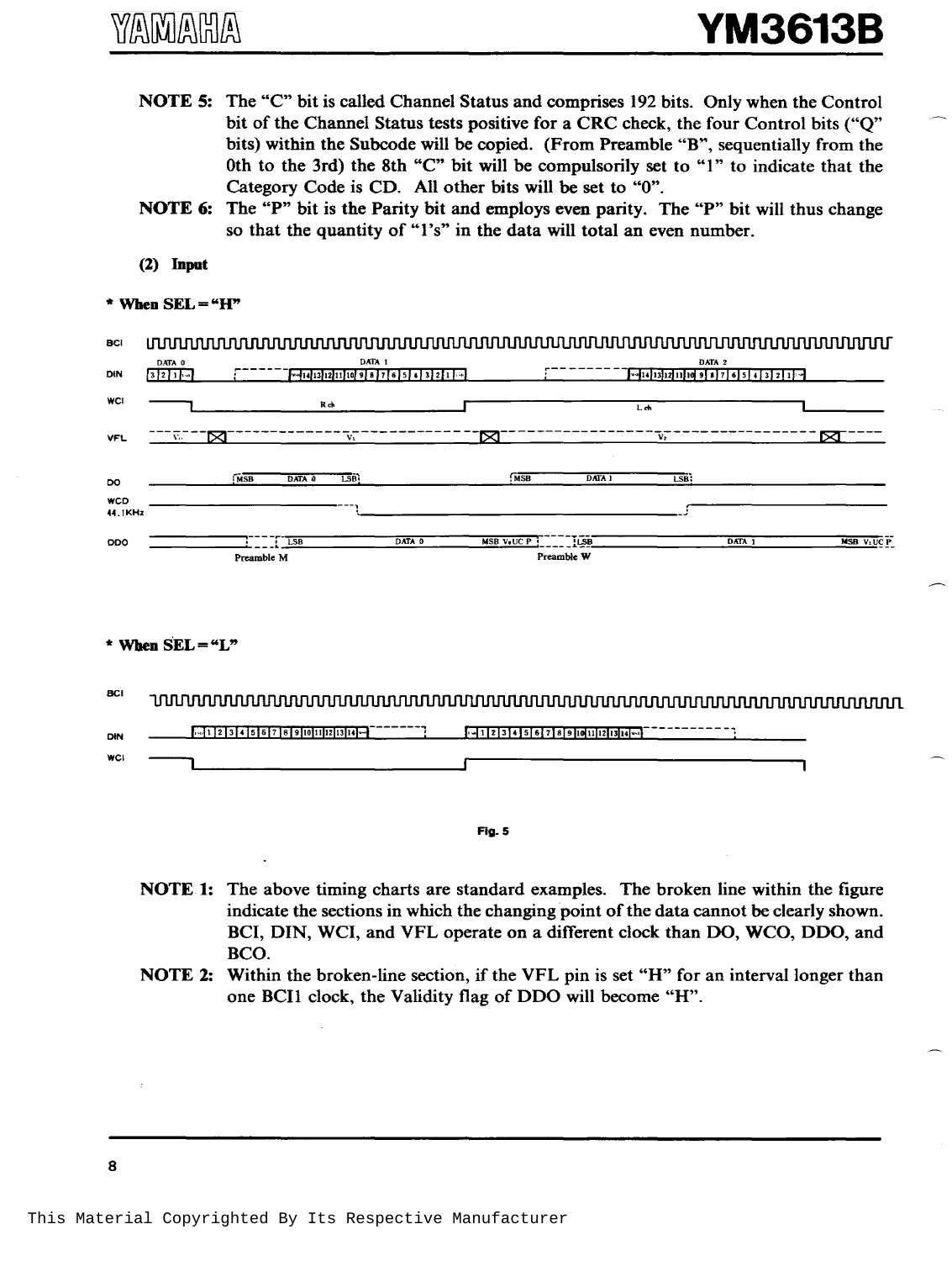- NOTE 5: The "C" bit is called Channel Status and comprises 192 bits. Only when the Control bit of the Channel Status tests positive for a CRC check, the four Control bits ("Q" bits) within the Subcode will be copied. (From Preamble "B", sequentially from the 0th to the 3rd) the 8th "C" bit will be compulsorily set to "1" to indicate that the Category Code is CD. All other bits will be set to "0".
- NOTE 6: The "P" bit is the Parity bit and employs even parity. The "P" bit will thus change so that the quantity of "1's" in the data will total an even number.
- $(2)$  Input

#### \* When  $SEL = "H"$

| <b>BCI</b>            |                    |            |                |                  |                                                 |                   |            |                |        |           |
|-----------------------|--------------------|------------|----------------|------------------|-------------------------------------------------|-------------------|------------|----------------|--------|-----------|
| DIN                   | DATA 0<br>$3211 -$ |            | --414 13 12 11 | DATA 1           | $\frac{10}{9}$ 9 8 7 6 5 4 3 2 1 $\frac{1}{10}$ |                   |            |                | DATA 2 |           |
| <b>WCI</b>            |                    |            | Rch            |                  |                                                 |                   |            | Leh            |        |           |
| <b>VFL</b>            | īМ<br>Vo.          |            |                | Vı               |                                                 | M                 |            | V <sub>2</sub> |        | ∝         |
| DO                    |                    | MSB        | DATA 0         | LSB <sup>1</sup> |                                                 | MSB               | DATA 1     | LSB;           |        |           |
| <b>WCD</b><br>44.1KHz |                    |            |                |                  |                                                 |                   |            |                |        |           |
| <b>DDO</b>            |                    |            | LSB            |                  | DATA 0                                          | <b>MSB V.UC P</b> | !LSB       |                | DATA 1 | MSB VIUCP |
|                       |                    | Preamble M |                |                  |                                                 |                   | Preamble W |                |        |           |

#### \* When  $SEL = "L"$

**BCI** 

| DIN        | $-112$<br>l 9 fiotutu 2 tuttol – t | 123456789101123314<br>1. 41 |
|------------|------------------------------------|-----------------------------|
| <b>WCI</b> |                                    |                             |
|            |                                    |                             |

Fig. 5

- NOTE 1: The above timing charts are standard examples. The broken line within the figure indicate the sections in which the changing point of the data cannot be clearly shown. BCI, DIN, WCI, and VFL operate on a different clock than DO, WCO, DDO, and BCO.
- NOTE 2: Within the broken-line section, if the VFL pin is set "H" for an interval longer than one BCI1 clock, the Validity flag of DDO will become "H".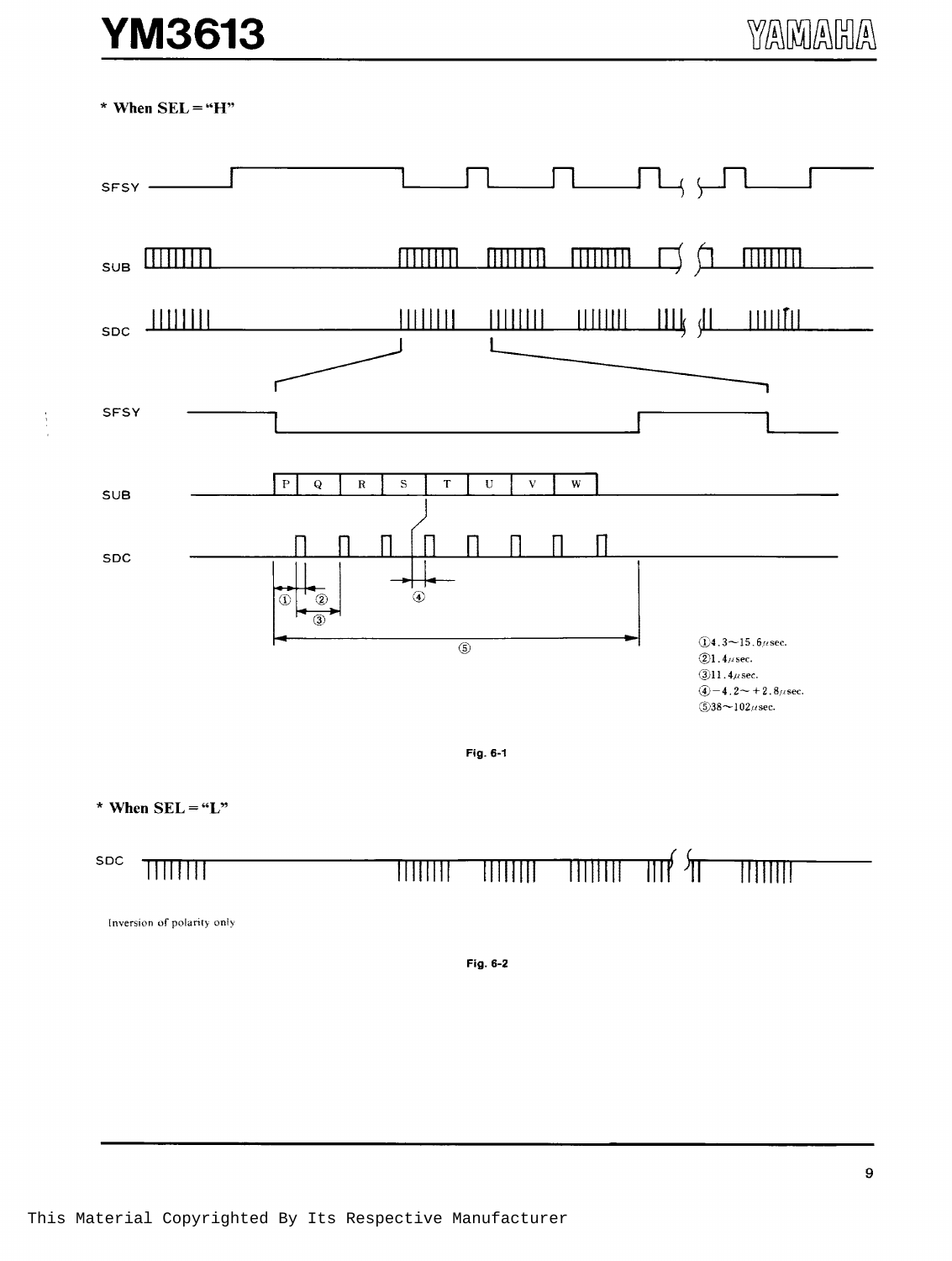## **YM3613**

\* When  $SEL = "H"$ 

 $\frac{1}{4}$ 



Inversion of polarity only

Fig. 6-2